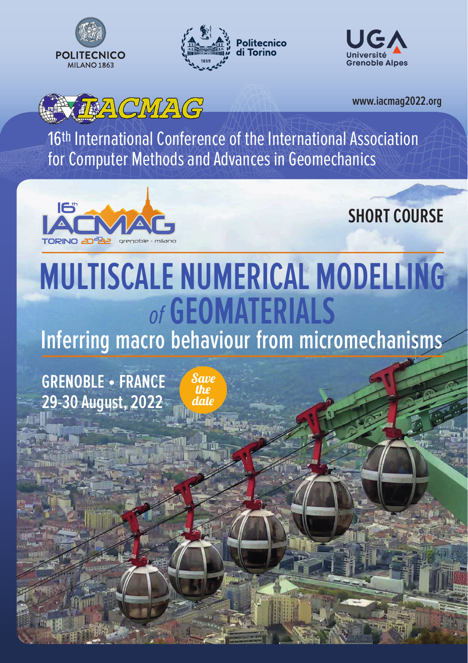







**www.iacmag2022.org**

16th International Conference of the International Association for Computer Methods and Advances in Geomechanics



**SHORT COURSE**

# **MULTISCALE NUMERICAL MODELLING**  *of* **GEOMATERIALS**

**Inferring macro behaviour from micromechanisms**

**GRENOBLE • FRANCE 29-30 August, 2022** Save the date